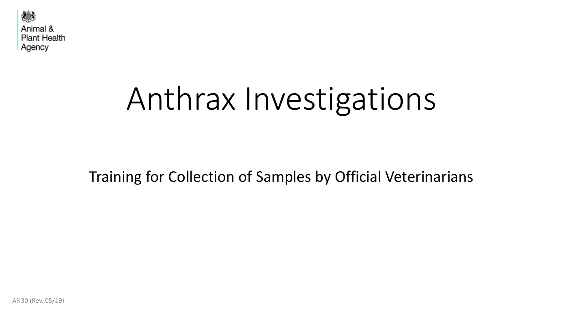

# Anthrax Investigations

Training for Collection of Samples by Official Veterinarians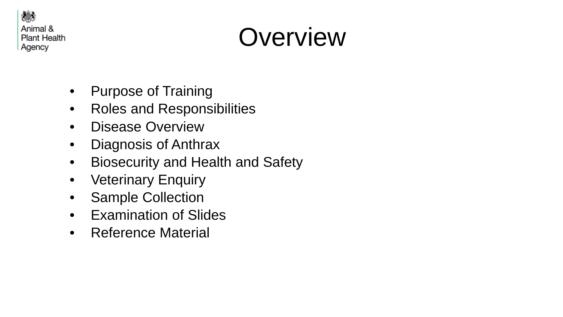

### **Overview**

- Purpose of Training
- Roles and Responsibilities
- Disease Overview
- Diagnosis of Anthrax
- Biosecurity and Health and Safety
- Veterinary Enquiry
- Sample Collection
- Examination of Slides
- Reference Material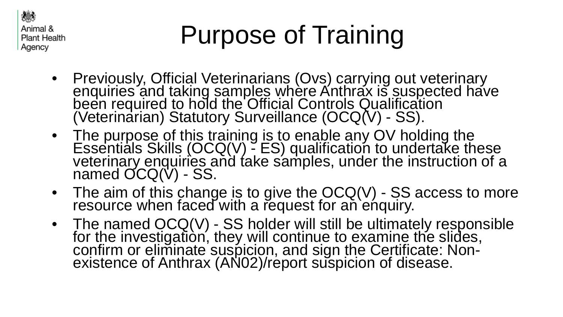

## Purpose of Training

- Previously, Official Veterinarians (Ovs) carrying out veterinary<br>enquiries and taking samples where Anthrax is suspected have been required to hold the Official Controls Qualification (Veterinarian) Statutory Surveillance (OCQ(V) - SS).
- The purpose of this training is to enable any OV holding the Essentials Skills (OCQ(V) - ES) qualification to undertake these<br>veterinary enguiries and take samples, under the instruction of a named OCQ(V) - SS.
- The aim of this change is to give the OCQ(V) SS access to more resource when faced with a request for an enquiry.
- The named OCQ(V) SS holder will still be ultimately responsible for the investigation, they will continue to examine the slides, confirm or eliminate suspicion, and sign the Certificate: Non-<br>existence of Anthrax (AN02)/report suspicion of disease.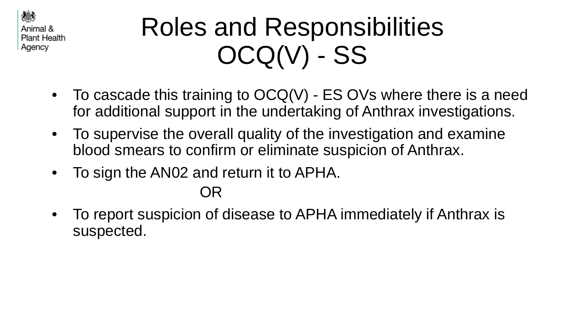

## Roles and Responsibilities OCQ(V) - SS

- To cascade this training to  $OCQ(V)$  ES OVs where there is a need for additional support in the undertaking of Anthrax investigations.
- To supervise the overall quality of the investigation and examine blood smears to confirm or eliminate suspicion of Anthrax.
- To sign the AN02 and return it to APHA.

#### OR

• To report suspicion of disease to APHA immediately if Anthrax is suspected.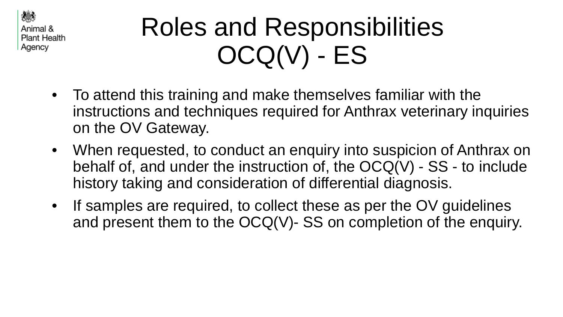

## Roles and Responsibilities OCQ(V) - ES

- To attend this training and make themselves familiar with the instructions and techniques required for Anthrax veterinary inquiries on the OV Gateway.
- When requested, to conduct an enquiry into suspicion of Anthrax on behalf of, and under the instruction of, the  $OCQ(V)$  - SS - to include history taking and consideration of differential diagnosis.
- If samples are required, to collect these as per the OV guidelines and present them to the OCQ(V)- SS on completion of the enquiry.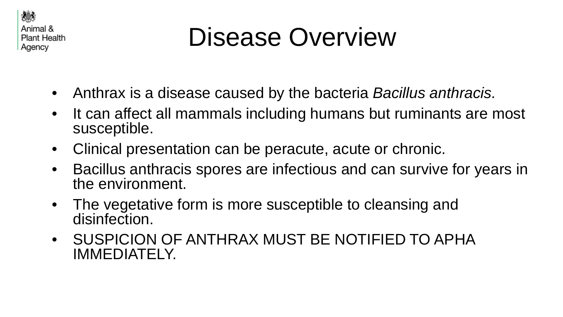

### Disease Overview

- Anthrax is a disease caused by the bacteria *Bacillus anthracis.*
- It can affect all mammals including humans but ruminants are most susceptible.
- Clinical presentation can be peracute, acute or chronic.
- Bacillus anthracis spores are infectious and can survive for years in the environment.
- The vegetative form is more susceptible to cleansing and disinfection.
- SUSPICION OF ANTHRAX MUST BE NOTIFIED TO APHA IMMEDIATELY.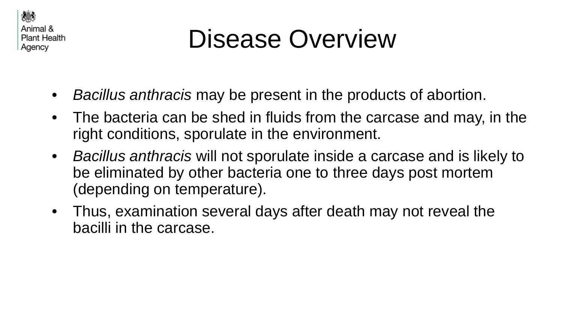

#### Disease Overview

- *Bacillus anthracis* may be present in the products of abortion.
- The bacteria can be shed in fluids from the carcase and may, in the right conditions, sporulate in the environment.
- *Bacillus anthracis* will not sporulate inside a carcase and is likely to be eliminated by other bacteria one to three days post mortem (depending on temperature).
- Thus, examination several days after death may not reveal the bacilli in the carcase.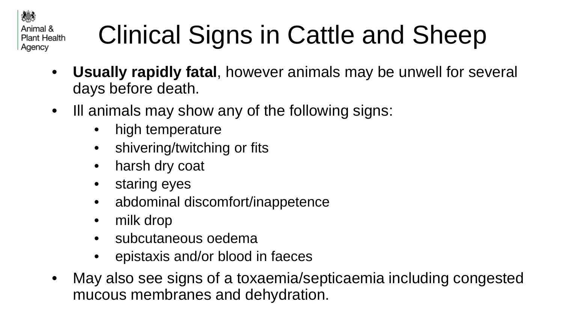嫌 Animal & Plant Health Agency

# Clinical Signs in Cattle and Sheep

- **Usually rapidly fatal**, however animals may be unwell for several days before death.
- Ill animals may show any of the following signs:
	- high temperature
	- shivering/twitching or fits
	- harsh dry coat
	- staring eyes
	- abdominal discomfort/inappetence
	- milk drop
	- subcutaneous oedema
	- epistaxis and/or blood in faeces
- May also see signs of a toxaemia/septicaemia including congested mucous membranes and dehydration.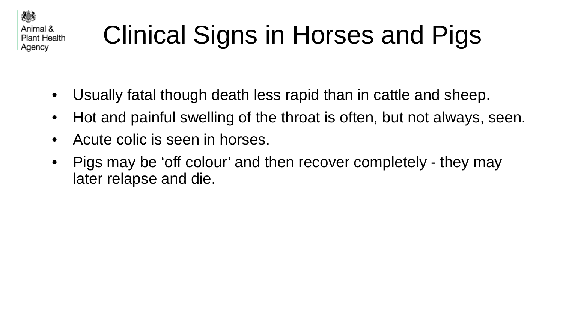

## Clinical Signs in Horses and Pigs

- Usually fatal though death less rapid than in cattle and sheep.
- Hot and painful swelling of the throat is often, but not always, seen.
- Acute colic is seen in horses.
- Pigs may be 'off colour' and then recover completely they may later relapse and die.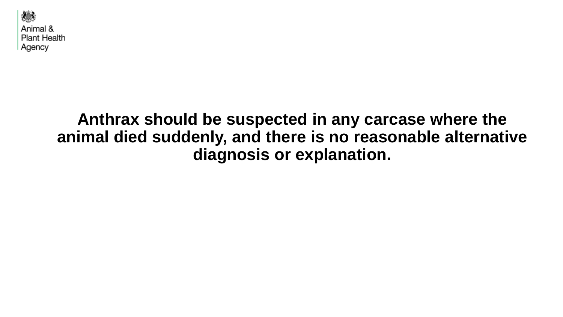

#### **Anthrax should be suspected in any carcase where the animal died suddenly, and there is no reasonable alternative diagnosis or explanation.**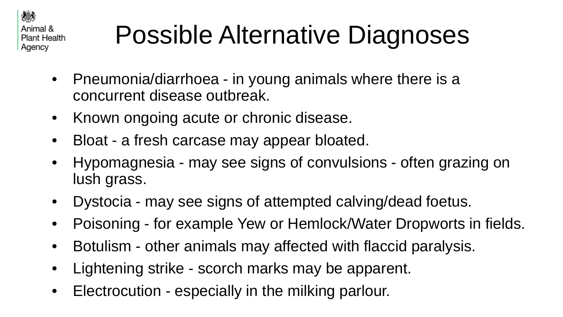鴓 Animal & **Plant Health** Agency

## Possible Alternative Diagnoses

- Pneumonia/diarrhoea in young animals where there is a concurrent disease outbreak.
- Known ongoing acute or chronic disease.
- Bloat a fresh carcase may appear bloated.
- Hypomagnesia may see signs of convulsions often grazing on lush grass.
- Dystocia may see signs of attempted calving/dead foetus.
- Poisoning for example Yew or Hemlock/Water Dropworts in fields.
- Botulism other animals may affected with flaccid paralysis.
- Lightening strike scorch marks may be apparent.
- Electrocution especially in the milking parlour.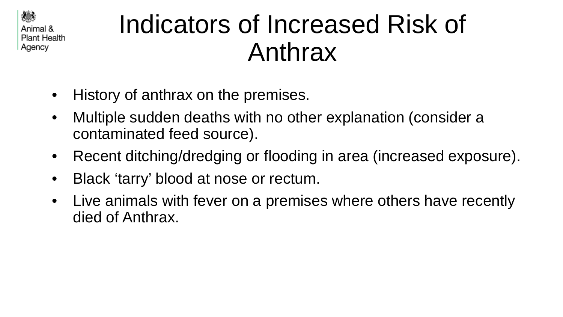鴓 Animal 8 **Plant Health** Agency

### Indicators of Increased Risk of Anthrax

- History of anthrax on the premises.
- Multiple sudden deaths with no other explanation (consider a contaminated feed source).
- Recent ditching/dredging or flooding in area (increased exposure).
- Black 'tarry' blood at nose or rectum.
- Live animals with fever on a premises where others have recently died of Anthrax.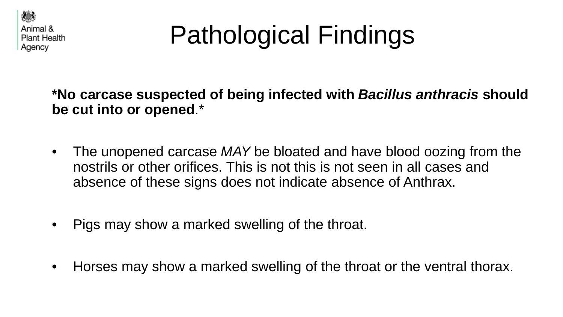

## Pathological Findings

**\*No carcase suspected of being infected with** *Bacillus anthracis* **should be cut into or opened**.\*

- The unopened carcase *MAY* be bloated and have blood oozing from the nostrils or other orifices. This is not this is not seen in all cases and absence of these signs does not indicate absence of Anthrax.
- Pigs may show a marked swelling of the throat.
- Horses may show a marked swelling of the throat or the ventral thorax.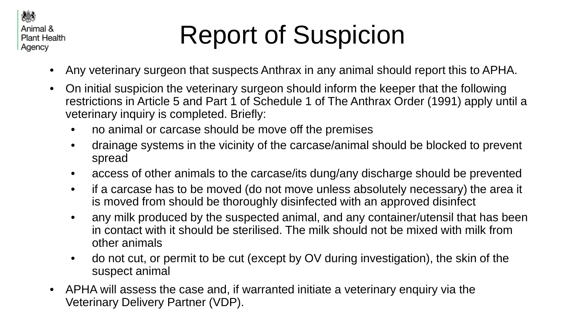

## Report of Suspicion

- Any veterinary surgeon that suspects Anthrax in any animal should report this to APHA.
- On initial suspicion the veterinary surgeon should inform the keeper that the following restrictions in Article 5 and Part 1 of Schedule 1 of The Anthrax Order (1991) apply until a veterinary inquiry is completed. Briefly:
	- no animal or carcase should be move off the premises
	- drainage systems in the vicinity of the carcase/animal should be blocked to prevent spread
	- access of other animals to the carcase/its dung/any discharge should be prevented
	- if a carcase has to be moved (do not move unless absolutely necessary) the area it is moved from should be thoroughly disinfected with an approved disinfect
	- any milk produced by the suspected animal, and any container/utensil that has been in contact with it should be sterilised. The milk should not be mixed with milk from other animals
	- do not cut, or permit to be cut (except by OV during investigation), the skin of the suspect animal
- APHA will assess the case and, if warranted initiate a veterinary enquiry via the Veterinary Delivery Partner (VDP).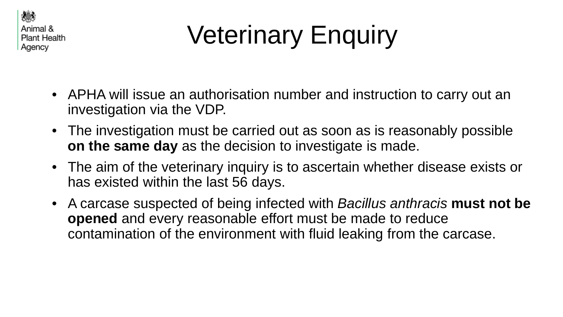

# Veterinary Enquiry

- APHA will issue an authorisation number and instruction to carry out an investigation via the VDP.
- The investigation must be carried out as soon as is reasonably possible **on the same day** as the decision to investigate is made.
- The aim of the veterinary inquiry is to ascertain whether disease exists or has existed within the last 56 days.
- A carcase suspected of being infected with *Bacillus anthracis* **must not be opened** and every reasonable effort must be made to reduce contamination of the environment with fluid leaking from the carcase.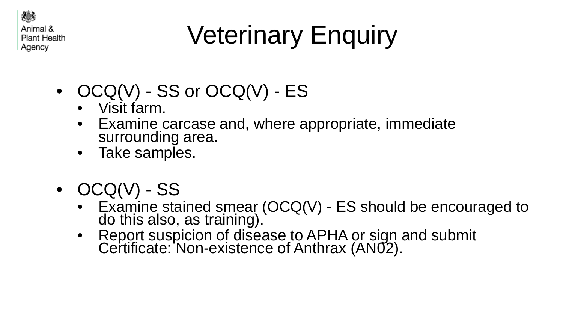

# Veterinary Enquiry

- $OCQ(V)$  SS or  $OCQ(V)$  ES
	- Visit farm.
	- Examine carcase and, where appropriate, immediate surrounding area.
	- Take samples.
- $\bullet$   $OCQ(V)$  SS
	- Examine stained smear (OCQ(V) ES should be encouraged to do this also, as training).
	- Report suspicion of disease to APHA or sign and submit Certificate: Non-existence of Anthrax (AN02).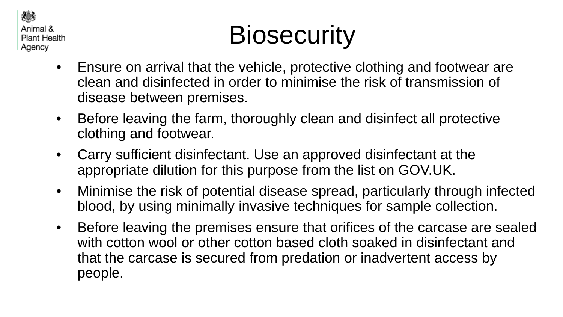

## **Biosecurity**

- Ensure on arrival that the vehicle, protective clothing and footwear are clean and disinfected in order to minimise the risk of transmission of disease between premises.
- Before leaving the farm, thoroughly clean and disinfect all protective clothing and footwear.
- Carry sufficient disinfectant. Use an approved disinfectant at the appropriate dilution for this purpose from the list on GOV.UK.
- Minimise the risk of potential disease spread, particularly through infected blood, by using minimally invasive techniques for sample collection.
- Before leaving the premises ensure that orifices of the carcase are sealed with cotton wool or other cotton based cloth soaked in disinfectant and that the carcase is secured from predation or inadvertent access by people.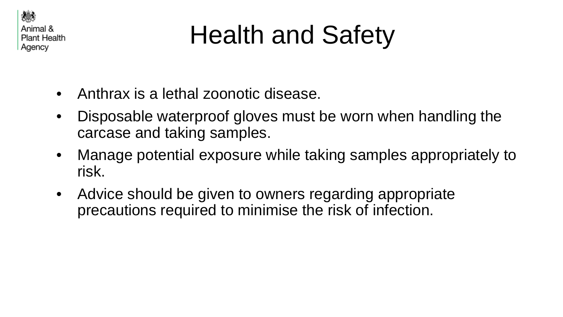

## Health and Safety

- Anthrax is a lethal zoonotic disease.
- Disposable waterproof gloves must be worn when handling the carcase and taking samples.
- Manage potential exposure while taking samples appropriately to risk.
- Advice should be given to owners regarding appropriate precautions required to minimise the risk of infection.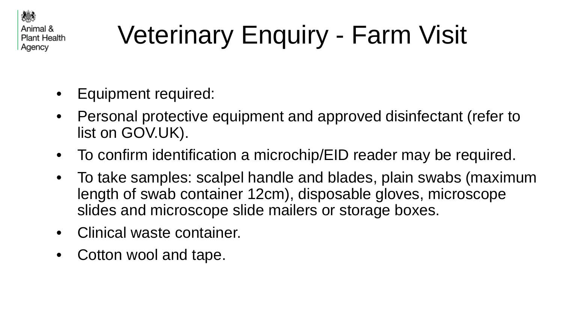嫌 Animal & Plant Health Agency

# Veterinary Enquiry - Farm Visit

- Equipment required:
- Personal protective equipment and approved disinfectant (refer to list on GOV.UK).
- To confirm identification a microchip/EID reader may be required.
- To take samples: scalpel handle and blades, plain swabs (maximum length of swab container 12cm), disposable gloves, microscope slides and microscope slide mailers or storage boxes.
- Clinical waste container.
- Cotton wool and tape.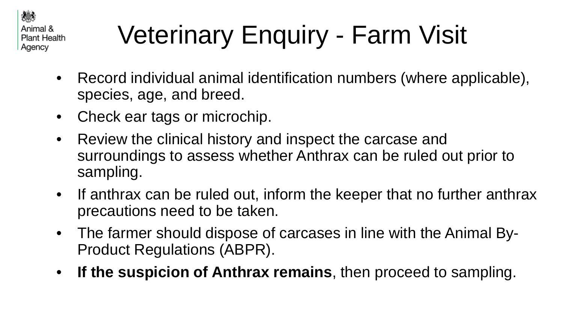鴓 Animal & Plant Health Agency

# Veterinary Enquiry - Farm Visit

- Record individual animal identification numbers (where applicable), species, age, and breed.
- Check ear tags or microchip.
- Review the clinical history and inspect the carcase and surroundings to assess whether Anthrax can be ruled out prior to sampling.
- If anthrax can be ruled out, inform the keeper that no further anthrax precautions need to be taken.
- The farmer should dispose of carcases in line with the Animal By-Product Regulations (ABPR).
- **If the suspicion of Anthrax remains**, then proceed to sampling.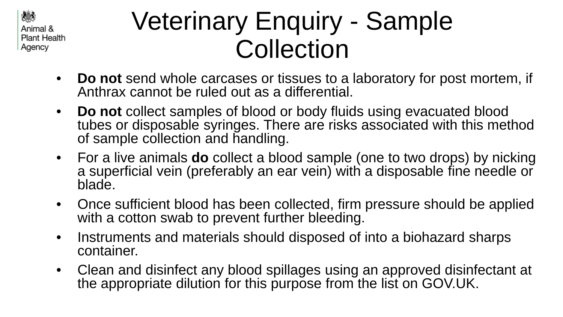鴓 Animal & Plant Health Agency

### Veterinary Enquiry - Sample Collection

- **Do not** send whole carcases or tissues to a laboratory for post mortem, if Anthrax cannot be ruled out as a differential.
- **Do not** collect samples of blood or body fluids using evacuated blood tubes or disposable syringes. There are risks associated with this method of sample collection and handling.
- For a live animals **do** collect a blood sample (one to two drops) by nicking a superficial vein (preferably an ear vein) with a disposable fine needle or blade.
- Once sufficient blood has been collected, firm pressure should be applied with a cotton swab to prevent further bleeding.
- Instruments and materials should disposed of into a biohazard sharps container.
- Clean and disinfect any blood spillages using an approved disinfectant at the appropriate dilution for this purpose from the list on GOV.UK.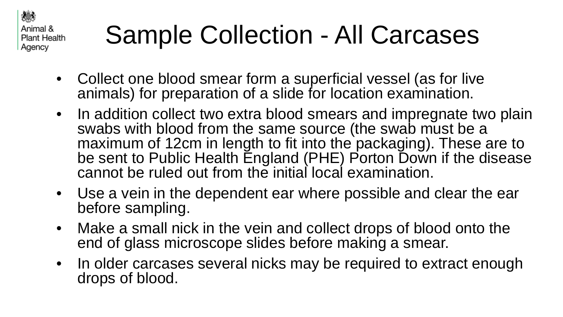想念 Animal & **Plant Health** Agency

## Sample Collection - All Carcases

- Collect one blood smear form a superficial vessel (as for live animals) for preparation of a slide for location examination.
- In addition collect two extra blood smears and impregnate two plain swabs with blood from the same source (the swab must be a maximum of 12cm in length to fit into the packaging). These are to be sent to Public Health England (PHE) Porton Down if the disease cannot be ruled out from the initial local examination.
- Use a vein in the dependent ear where possible and clear the ear before sampling.
- Make a small nick in the vein and collect drops of blood onto the end of glass microscope slides before making a smear.
- In older carcases several nicks may be required to extract enough drops of blood.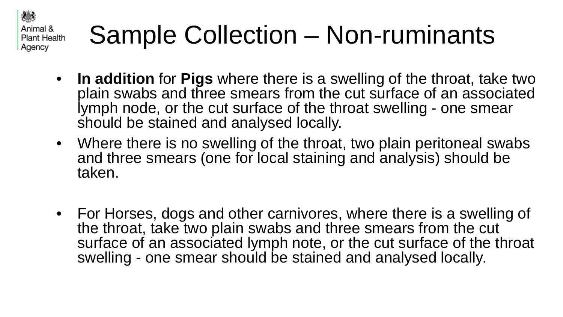#### Sample Collection – Non-ruminants **Plant Health**

戀

Animal &

Agency

- **In addition** for **Pigs** where there is a swelling of the throat, take two plain swabs and three smears from the cut surface of an associated lymph node, or the cut surface of the throat swelling - one smear should be stained and analysed locally.
- Where there is no swelling of the throat, two plain peritoneal swabs and three smears (one for local staining and analysis) should be taken.
- For Horses, dogs and other carnivores, where there is a swelling of the throat, take two plain swabs and three smears from the cut surface of an associated lymph note, or the cut surface of the throat swelling - one smear should be stained and analysed locally.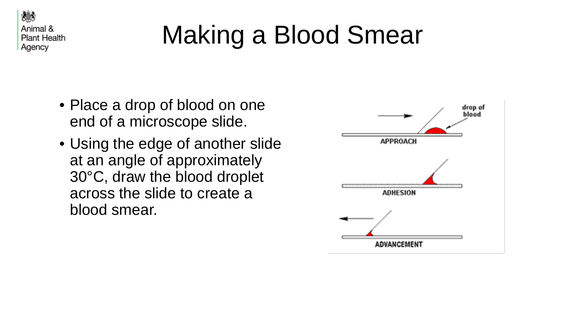鴓 Animal & **Plant Health** Agency

## Making a Blood Smear

- Place a drop of blood on one end of a microscope slide.
- Using the edge of another slide at an angle of approximately 30°C, draw the blood droplet across the slide to create a blood smear.

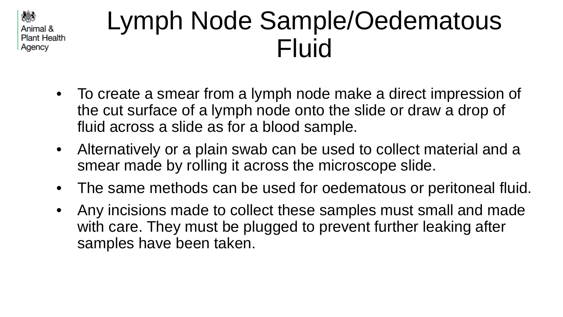鴓 Animal 8 **Plant Health** Agency

#### Lymph Node Sample/Oedematous Fluid

- To create a smear from a lymph node make a direct impression of the cut surface of a lymph node onto the slide or draw a drop of fluid across a slide as for a blood sample.
- Alternatively or a plain swab can be used to collect material and a smear made by rolling it across the microscope slide.
- The same methods can be used for oedematous or peritoneal fluid.
- Any incisions made to collect these samples must small and made with care. They must be plugged to prevent further leaking after samples have been taken.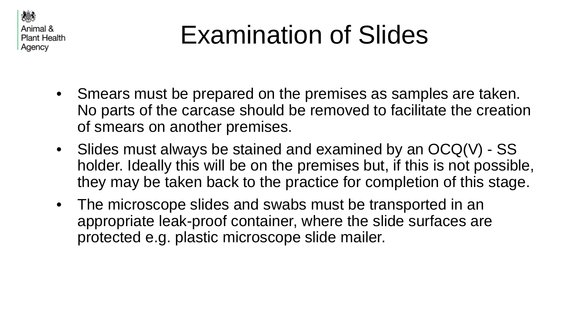鶐 Animal & **Plant Health** Agency

## Examination of Slides

- Smears must be prepared on the premises as samples are taken. No parts of the carcase should be removed to facilitate the creation of smears on another premises.
- Slides must always be stained and examined by an OCQ(V) SS holder. Ideally this will be on the premises but, if this is not possible, they may be taken back to the practice for completion of this stage.
- The microscope slides and swabs must be transported in an appropriate leak-proof container, where the slide surfaces are protected e.g. plastic microscope slide mailer.